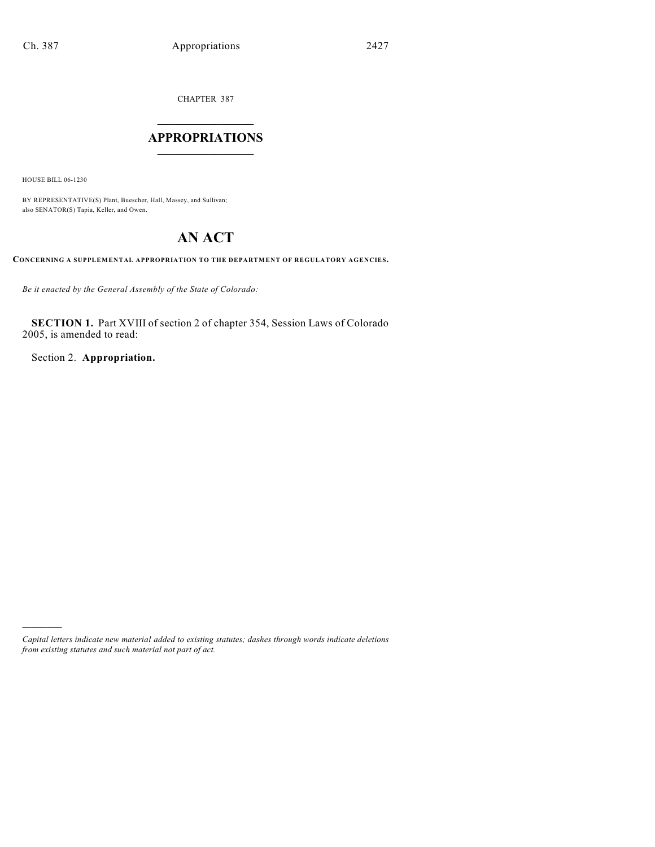CHAPTER 387

# $\mathcal{L}_\text{max}$  . The set of the set of the set of the set of the set of the set of the set of the set of the set of the set of the set of the set of the set of the set of the set of the set of the set of the set of the set **APPROPRIATIONS**  $\_$   $\_$   $\_$   $\_$   $\_$   $\_$   $\_$   $\_$

HOUSE BILL 06-1230

)))))

BY REPRESENTATIVE(S) Plant, Buescher, Hall, Massey, and Sullivan; also SENATOR(S) Tapia, Keller, and Owen.

# **AN ACT**

**CONCERNING A SUPPLEMENTAL APPROPRIATION TO THE DEPARTMENT OF REGULATORY AGENCIES.**

*Be it enacted by the General Assembly of the State of Colorado:*

**SECTION 1.** Part XVIII of section 2 of chapter 354, Session Laws of Colorado 2005, is amended to read:

Section 2. **Appropriation.**

*Capital letters indicate new material added to existing statutes; dashes through words indicate deletions from existing statutes and such material not part of act.*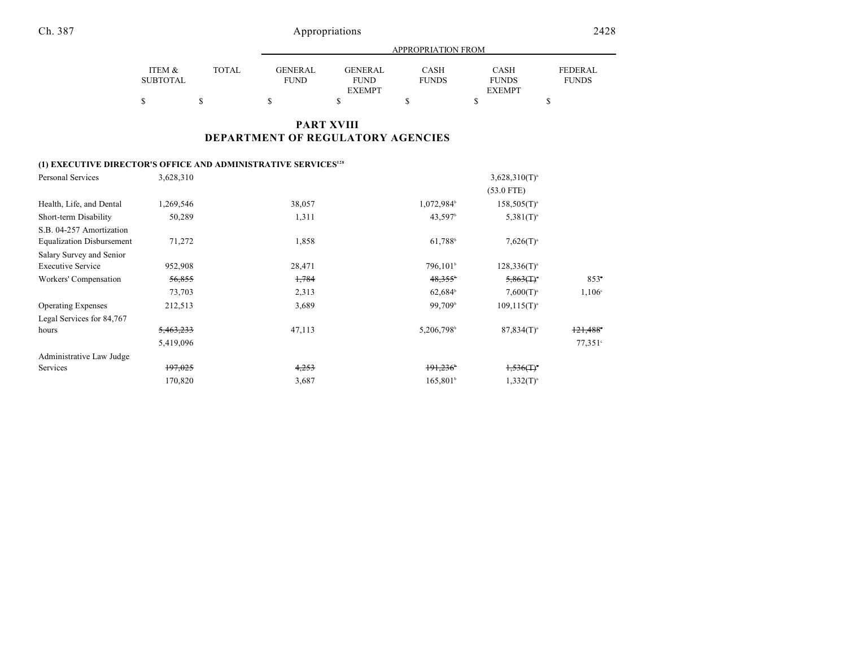Ch. 387 Appropriations 2428

|                 |       | APPROPRIATION FROM |                |              |               |              |  |
|-----------------|-------|--------------------|----------------|--------------|---------------|--------------|--|
|                 |       |                    |                |              |               |              |  |
| ITEM &          | TOTAL | GENERAL            | <b>GENERAL</b> | <b>CASH</b>  | <b>CASH</b>   | FEDERAL      |  |
| <b>SUBTOTAL</b> |       | <b>FUND</b>        | <b>FUND</b>    | <b>FUNDS</b> | <b>FUNDS</b>  | <b>FUNDS</b> |  |
|                 |       |                    | <b>EXEMPT</b>  |              | <b>EXEMPT</b> |              |  |
|                 |       |                    |                |              |               |              |  |

## **PART XVIII DEPARTMENT OF REGULATORY AGENCIES**

# **(1) EXECUTIVE DIRECTOR'S OFFICE AND ADMINISTRATIVE SERVICES<sup>128</sup>**

| Personal Services                | 3,628,310 |        |                        | $3,628,310(T)^{a}$       |                 |
|----------------------------------|-----------|--------|------------------------|--------------------------|-----------------|
|                                  |           |        |                        | $(53.0$ FTE)             |                 |
| Health, Life, and Dental         | 1,269,546 | 38,057 | 1,072,984 <sup>b</sup> | $158,505(T)^{a}$         |                 |
| Short-term Disability            | 50,289    | 1,311  | 43,597 <sup>b</sup>    | $5,381(T)^{a}$           |                 |
| S.B. 04-257 Amortization         |           |        |                        |                          |                 |
| <b>Equalization Disbursement</b> | 71,272    | 1,858  | 61,788 <sup>b</sup>    | $7,626(T)^{a}$           |                 |
| Salary Survey and Senior         |           |        |                        |                          |                 |
| <b>Executive Service</b>         | 952,908   | 28,471 | 796,101 <sup>b</sup>   | $128,336(T)^{a}$         |                 |
| Workers' Compensation            | 56,855    | 1,784  | $48,355^{\circ}$       | $5,863($ T) <sup>*</sup> | $853^\circ$     |
|                                  | 73,703    | 2,313  | $62,684$ <sup>b</sup>  | $7,600(T)^{a}$           | $1,106^{\circ}$ |
| <b>Operating Expenses</b>        | 212,513   | 3,689  | 99,709 <sup>b</sup>    | $109, 115(T)^{a}$        |                 |
| Legal Services for 84,767        |           |        |                        |                          |                 |
| hours                            | 5,463,233 | 47,113 | 5,206,798              | $87,834(T)^{a}$          | 121,488         |
|                                  | 5,419,096 |        |                        |                          | $77.351$ °      |
| Administrative Law Judge         |           |        |                        |                          |                 |
| Services                         | 197,025   | 4,253  | 191,236                | $1.536(T)^*$             |                 |
|                                  | 170,820   | 3,687  | $165,801$ <sup>b</sup> | $1,332(T)^{a}$           |                 |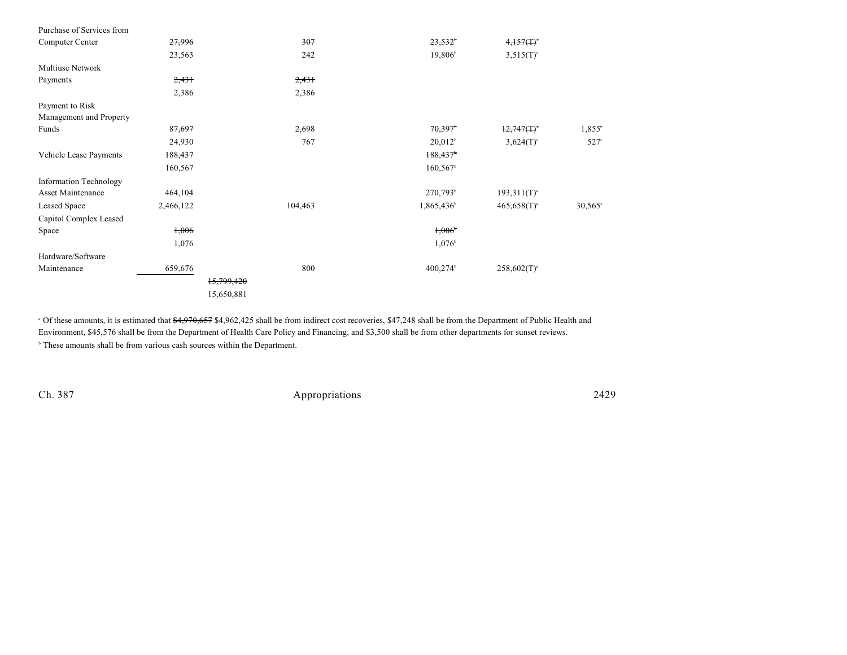| Purchase of Services from |           |            |                        |                  |                 |
|---------------------------|-----------|------------|------------------------|------------------|-----------------|
| Computer Center           | 27,996    | 307        | $23,532^{\circ}$       | 4,157(T)         |                 |
|                           | 23,563    | 242        | 19,806 <sup>b</sup>    | $3,515(T)^{a}$   |                 |
| <b>Multiuse Network</b>   |           |            |                        |                  |                 |
| Payments                  | 2,431     | 2,431      |                        |                  |                 |
|                           | 2,386     | 2,386      |                        |                  |                 |
| Payment to Risk           |           |            |                        |                  |                 |
| Management and Property   |           |            |                        |                  |                 |
| Funds                     | 87,697    | 2,698      | 70,397                 | 12,747(T)        | $1,855^{\circ}$ |
|                           | 24,930    | 767        | 20,012 <sup>b</sup>    | $3,624(T)^{a}$   | $527^\circ$     |
| Vehicle Lease Payments    | 188,437   |            | 188,437                |                  |                 |
|                           | 160,567   |            | 160,567                |                  |                 |
| Information Technology    |           |            |                        |                  |                 |
| <b>Asset Maintenance</b>  | 464,104   |            | 270,793 <sup>b</sup>   | $193,311(T)^{a}$ |                 |
| Leased Space              | 2,466,122 | 104,463    | 1,865,436              | $465,658(T)^{a}$ | $30,565^\circ$  |
| Capitol Complex Leased    |           |            |                        |                  |                 |
| Space                     | 1,006     |            | $1,006^{\circ}$        |                  |                 |
|                           | 1,076     |            | $1,076^{\circ}$        |                  |                 |
| Hardware/Software         |           |            |                        |                  |                 |
| Maintenance               | 659,676   | 800        | $400,274$ <sup>b</sup> | $258,602(T)^{a}$ |                 |
|                           |           | 15,799,420 |                        |                  |                 |
|                           |           | 15,650,881 |                        |                  |                 |
|                           |           |            |                        |                  |                 |

<sup>a</sup> Of these amounts, it is estimated that  $\frac{4,970,657}{4,962,425}$  shall be from indirect cost recoveries, \$47,248 shall be from the Department of Public Health and Environment, \$45,576 shall be from the Department of Health Care Policy and Financing, and \$3,500 shall be from other departments for sunset reviews.

 $\cdot$  These amounts shall be from various cash sources within the Department.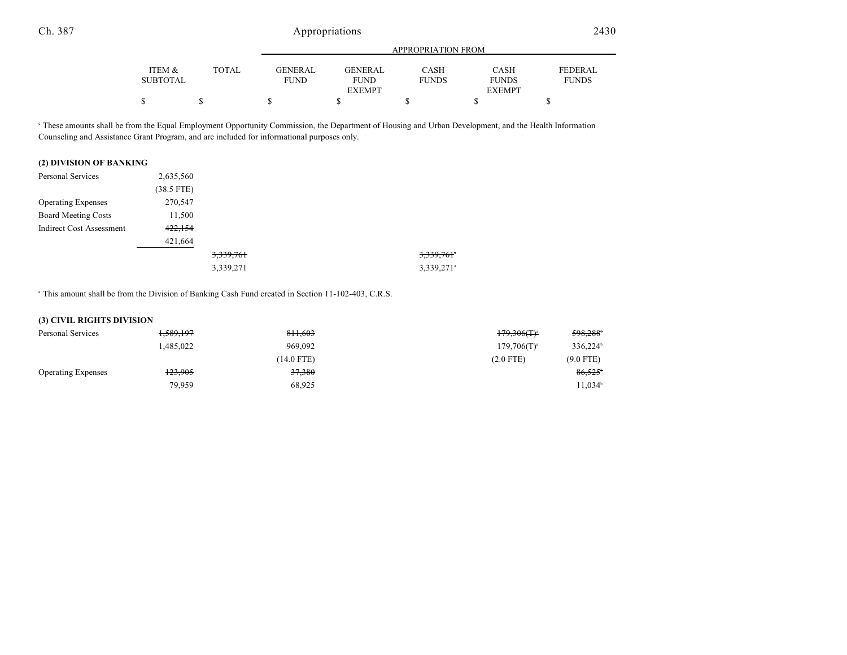|          |        |                | APPROPRIATION FROM |              |               |                |  |
|----------|--------|----------------|--------------------|--------------|---------------|----------------|--|
|          |        |                |                    |              |               |                |  |
| ITEM &   | TOTAL. | <b>GENERAL</b> | <b>GENERAL</b>     | CASH         | <b>CASH</b>   | <b>FEDERAL</b> |  |
| SUBTOTAL |        | <b>FUND</b>    | <b>FUND</b>        | <b>FUNDS</b> | <b>FUNDS</b>  | <b>FUNDS</b>   |  |
|          |        |                | <b>EXEMPT</b>      |              | <b>EXEMPT</b> |                |  |
|          |        |                |                    |              |               |                |  |

 These amounts shall be from the Equal Employment Opportunity Commission, the Department of Housing and Urban Development, and the Health Information <sup>c</sup> Counseling and Assistance Grant Program, and are included for informational purposes only.

### **(2) DIVISION OF BANKING**

| Personal Services               | 2,635,560    |           |                          |
|---------------------------------|--------------|-----------|--------------------------|
|                                 | $(38.5$ FTE) |           |                          |
| <b>Operating Expenses</b>       | 270,547      |           |                          |
| <b>Board Meeting Costs</b>      | 11,500       |           |                          |
| <b>Indirect Cost Assessment</b> | 422,154      |           |                          |
|                                 | 421,664      |           |                          |
|                                 |              | 3,339,761 | 3,339,761 <sup>*</sup>   |
|                                 |              | 3,339,271 | $3,339,271$ <sup>a</sup> |

<sup>a</sup> This amount shall be from the Division of Banking Cash Fund created in Section 11-102-403, C.R.S.

#### **(3) CIVIL RIGHTS DIVISION**

| Personal Services         | 1,589,197 | 811.603    | 598.288 <sup>b</sup><br>$179,306($ T) <sup>a</sup> |
|---------------------------|-----------|------------|----------------------------------------------------|
|                           | 1.485.022 | 969,092    | 336,224 <sup>b</sup><br>$179,706(T)^{a}$           |
|                           |           | (14.0 FTE) | $(9.0$ FTE)<br>$(2.0$ FTE)                         |
| <b>Operating Expenses</b> | 123,905   | 37,380     | 86,525                                             |
|                           | 79,959    | 68,925     | 11,034 <sup>b</sup>                                |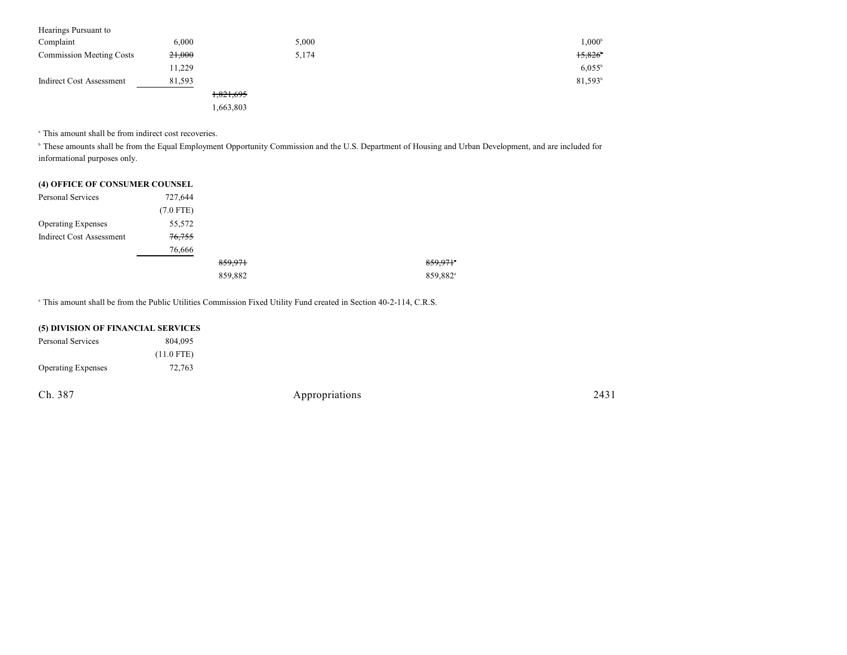| Hearings Pursuant to            |        |           |                     |
|---------------------------------|--------|-----------|---------------------|
| Complaint                       | 6,000  | 5,000     | $1,000^{\circ}$     |
| <b>Commission Meeting Costs</b> | 21,000 | 5,174     | 15.826              |
|                                 | 11,229 |           | $6,055^{\circ}$     |
| Indirect Cost Assessment        | 81,593 |           | 81,593 <sup>b</sup> |
|                                 |        | 1,821,695 |                     |
|                                 |        | 1,663,803 |                     |

<sup>a</sup> This amount shall be from indirect cost recoveries.

<sup>b</sup> These amounts shall be from the Equal Employment Opportunity Commission and the U.S. Department of Housing and Urban Development, and are included for informational purposes only.

| (4) OFFICE OF CONSUMER COUNSEL |  |
|--------------------------------|--|
|--------------------------------|--|

| Personal Services               | 727,644     |         |                      |
|---------------------------------|-------------|---------|----------------------|
|                                 | $(7.0$ FTE) |         |                      |
| <b>Operating Expenses</b>       | 55,572      |         |                      |
| <b>Indirect Cost Assessment</b> | 76,755      |         |                      |
|                                 | 76,666      |         |                      |
|                                 |             | 859,971 | 859,971*             |
|                                 |             | 859,882 | 859,882 <sup>a</sup> |

<sup>a</sup> This amount shall be from the Public Utilities Commission Fixed Utility Fund created in Section 40-2-114, C.R.S.

| (5) DIVISION OF FINANCIAL SERVICES |              |                |
|------------------------------------|--------------|----------------|
| Personal Services                  | 804,095      |                |
|                                    | $(11.0$ FTE) |                |
| <b>Operating Expenses</b>          | 72,763       |                |
|                                    |              |                |
| Ch. 387                            |              | Appropriations |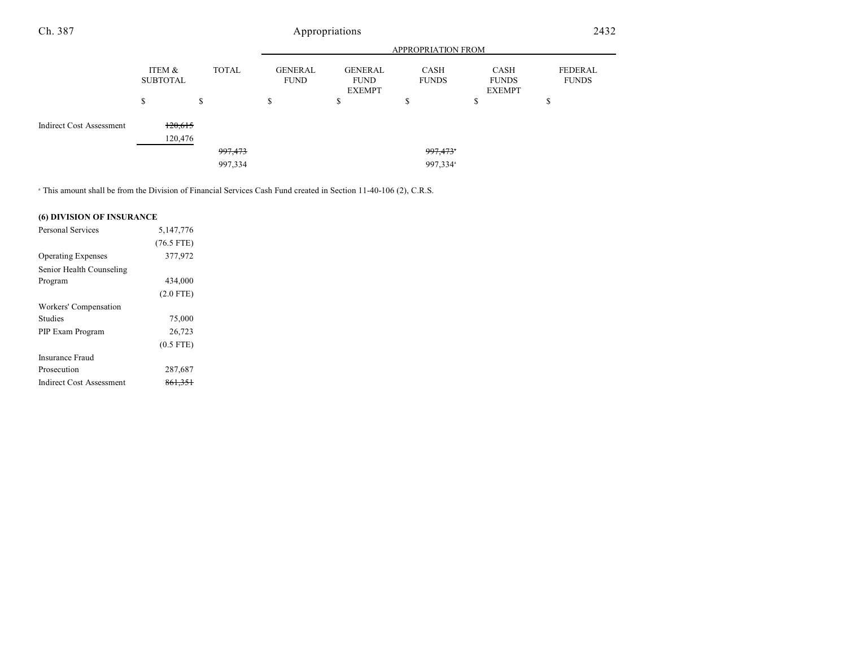#### APPROPRIATION FROM ITEM & SUBTOTAL TOTAL GENERAL FUND GENERAL FUND EXEMPT CASH FUNDS CASH FUNDS EXEMPT Ch. 387 Appropriations 2432

997,334 997,334<sup>a</sup>

|                                 |         | ሖ | œ<br>ω               |  |
|---------------------------------|---------|---|----------------------|--|
|                                 |         |   |                      |  |
| <b>Indirect Cost Assessment</b> | 120,615 |   |                      |  |
|                                 | 120,476 |   |                      |  |
|                                 | 997,473 |   | 997,473 <sup>*</sup> |  |

<sup>a</sup> This amount shall be from the Division of Financial Services Cash Fund created in Section 11-40-106 (2), C.R.S.

### **(6) DIVISION OF INSURANCE**

| Personal Services         | 5,147,776          |  |
|---------------------------|--------------------|--|
|                           | $(76.5$ FTE)       |  |
| <b>Operating Expenses</b> | 377,972            |  |
| Senior Health Counseling  |                    |  |
| Program                   | 434,000            |  |
|                           | $(2.0$ FTE)        |  |
| Workers' Compensation     |                    |  |
| <b>Studies</b>            | 75,000             |  |
| PIP Exam Program          | 26,723             |  |
|                           | $(0.5$ FTE)        |  |
| Insurance Fraud           |                    |  |
| Prosecution               | 287,687            |  |
| Indirect Cost Assessment  | <del>861,351</del> |  |

FEDERAL FUNDS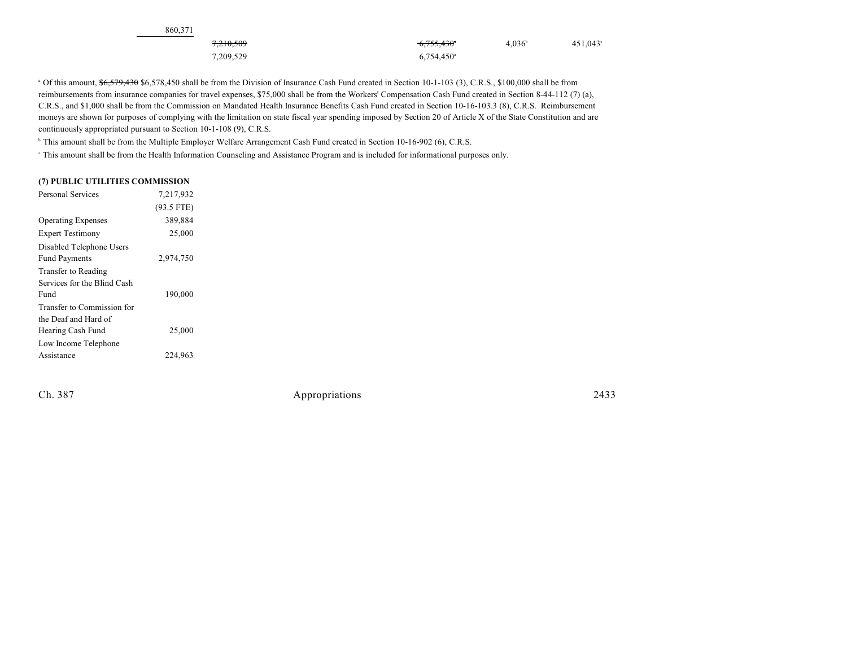| 860.371              |                          |                 |                   |
|----------------------|--------------------------|-----------------|-------------------|
| <del>7,210,509</del> | <del>6,755,430</del> °   | $4.036^{\circ}$ | $451,043^{\circ}$ |
| 7,209,529            | $6,754,450$ <sup>a</sup> |                 |                   |

 $\degree$  Of this amount,  $\frac{66,579,430}{6,578,450}$  shall be from the Division of Insurance Cash Fund created in Section 10-1-103 (3), C.R.S., \$100,000 shall be from reimbursements from insurance companies for travel expenses, \$75,000 shall be from the Workers' Compensation Cash Fund created in Section 8-44-112 (7) (a), C.R.S., and \$1,000 shall be from the Commission on Mandated Health Insurance Benefits Cash Fund created in Section 10-16-103.3 (8), C.R.S. Reimbursement moneys are shown for purposes of complying with the limitation on state fiscal year spending imposed by Section 20 of Article X of the State Constitution and are continuously appropriated pursuant to Section 10-1-108 (9), C.R.S.

<sup>b</sup> This amount shall be from the Multiple Employer Welfare Arrangement Cash Fund created in Section 10-16-902 (6), C.R.S.

This amount shall be from the Health Information Counseling and Assistance Program and is included for informational purposes only. <sup>c</sup>

#### **(7) PUBLIC UTILITIES COMMISSION**

| Personal Services           | 7,217,932    |  |
|-----------------------------|--------------|--|
|                             | $(93.5$ FTE) |  |
| <b>Operating Expenses</b>   | 389,884      |  |
| <b>Expert Testimony</b>     | 25,000       |  |
| Disabled Telephone Users    |              |  |
| <b>Fund Payments</b>        | 2,974,750    |  |
| Transfer to Reading         |              |  |
| Services for the Blind Cash |              |  |
| Fund                        | 190,000      |  |
| Transfer to Commission for  |              |  |
| the Deaf and Hard of        |              |  |
| Hearing Cash Fund           | 25,000       |  |
| Low Income Telephone        |              |  |
| Assistance                  | 224.963      |  |
|                             |              |  |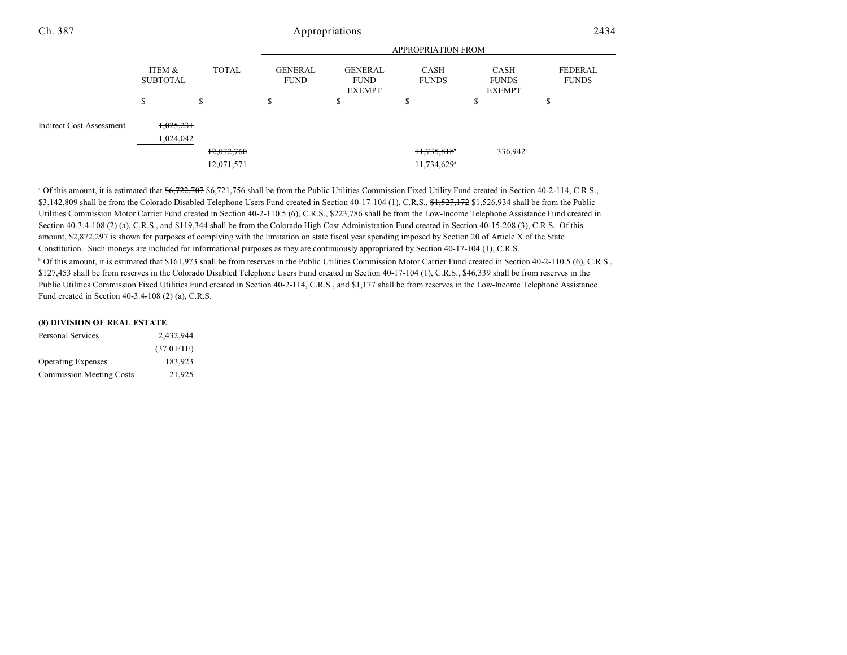| Ch. 387                         | Appropriations            |              |                               |                                                |                         | 2434                                  |                         |
|---------------------------------|---------------------------|--------------|-------------------------------|------------------------------------------------|-------------------------|---------------------------------------|-------------------------|
|                                 |                           |              | APPROPRIATION FROM            |                                                |                         |                                       |                         |
|                                 | ITEM &<br><b>SUBTOTAL</b> | <b>TOTAL</b> | <b>GENERAL</b><br><b>FUND</b> | <b>GENERAL</b><br><b>FUND</b><br><b>EXEMPT</b> | CASH<br><b>FUNDS</b>    | CASH<br><b>FUNDS</b><br><b>EXEMPT</b> | FEDERAL<br><b>FUNDS</b> |
|                                 | ъ                         | \$           | \$                            | ъ                                              | ъ                       | \$                                    | Φ                       |
| <b>Indirect Cost Assessment</b> | 1,025,231                 |              |                               |                                                |                         |                                       |                         |
|                                 | 1,024,042                 |              |                               |                                                |                         |                                       |                         |
|                                 |                           | 12,072,760   |                               |                                                | 11,735,818              | 336,942 <sup>b</sup>                  |                         |
|                                 |                           | 12,071,571   |                               |                                                | 11,734,629 <sup>a</sup> |                                       |                         |

<sup>a</sup> Of this amount, it is estimated that  $\frac{66,722,707}{6,721,756}$  shall be from the Public Utilities Commission Fixed Utility Fund created in Section 40-2-114, C.R.S., \$3,142,809 shall be from the Colorado Disabled Telephone Users Fund created in Section 40-17-104 (1), C.R.S., \$1,527,172 \$1,526,934 shall be from the Public Utilities Commission Motor Carrier Fund created in Section 40-2-110.5 (6), C.R.S., \$223,786 shall be from the Low-Income Telephone Assistance Fund created in Section 40-3.4-108 (2) (a), C.R.S., and \$119,344 shall be from the Colorado High Cost Administration Fund created in Section 40-15-208 (3), C.R.S. Of this amount, \$2,872,297 is shown for purposes of complying with the limitation on state fiscal year spending imposed by Section 20 of Article X of the State Constitution. Such moneys are included for informational purposes as they are continuously appropriated by Section 40-17-104 (1), C.R.S. <sup>b</sup> Of this amount, it is estimated that \$161,973 shall be from reserves in the Public Utilities Commission Motor Carrier Fund created in Section 40-2-110.5 (6), C.R.S., \$127,453 shall be from reserves in the Colorado Disabled Telephone Users Fund created in Section 40-17-104 (1), C.R.S., \$46,339 shall be from reserves in the Public Utilities Commission Fixed Utilities Fund created in Section 40-2-114, C.R.S., and \$1,177 shall be from reserves in the Low-Income Telephone Assistance Fund created in Section 40-3.4-108 (2) (a), C.R.S.

| <b>Personal Services</b>        | 2,432,944    |
|---------------------------------|--------------|
|                                 | $(37.0$ FTE) |
| <b>Operating Expenses</b>       | 183.923      |
| <b>Commission Meeting Costs</b> | 21.925       |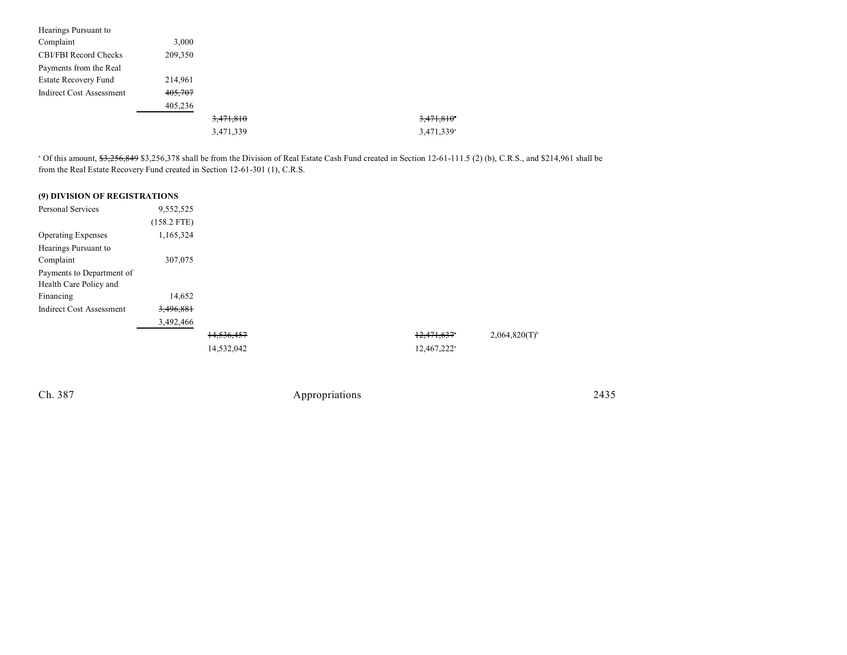| Hearings Pursuant to            |         |           |                        |
|---------------------------------|---------|-----------|------------------------|
| Complaint                       | 3.000   |           |                        |
| <b>CBI/FBI Record Checks</b>    | 209,350 |           |                        |
| Payments from the Real          |         |           |                        |
| <b>Estate Recovery Fund</b>     | 214,961 |           |                        |
| <b>Indirect Cost Assessment</b> | 405,707 |           |                        |
|                                 | 405,236 |           |                        |
|                                 |         | 3,471,810 | 3,471,810              |
|                                 |         | 3,471,339 | 3,471,339 <sup>a</sup> |

<sup>a</sup> Of this amount, \$3,256,849 \$3,256,378 shall be from the Division of Real Estate Cash Fund created in Section 12-61-111.5 (2) (b), C.R.S., and \$214,961 shall be from the Real Estate Recovery Fund created in Section 12-61-301 (1), C.R.S.

| (9) DIVISION OF REGISTRATIONS   |               |            |  |                         |
|---------------------------------|---------------|------------|--|-------------------------|
| <b>Personal Services</b>        | 9,552,525     |            |  |                         |
|                                 | $(158.2$ FTE) |            |  |                         |
| <b>Operating Expenses</b>       | 1,165,324     |            |  |                         |
| Hearings Pursuant to            |               |            |  |                         |
| Complaint                       | 307,075       |            |  |                         |
| Payments to Department of       |               |            |  |                         |
| Health Care Policy and          |               |            |  |                         |
| Financing                       | 14,652        |            |  |                         |
| <b>Indirect Cost Assessment</b> | 3,496,881     |            |  |                         |
|                                 | 3,492,466     |            |  |                         |
|                                 |               | 14.536.457 |  | 12,471,637*             |
|                                 |               | 14,532,042 |  | 12,467,222 <sup>a</sup> |
|                                 |               |            |  |                         |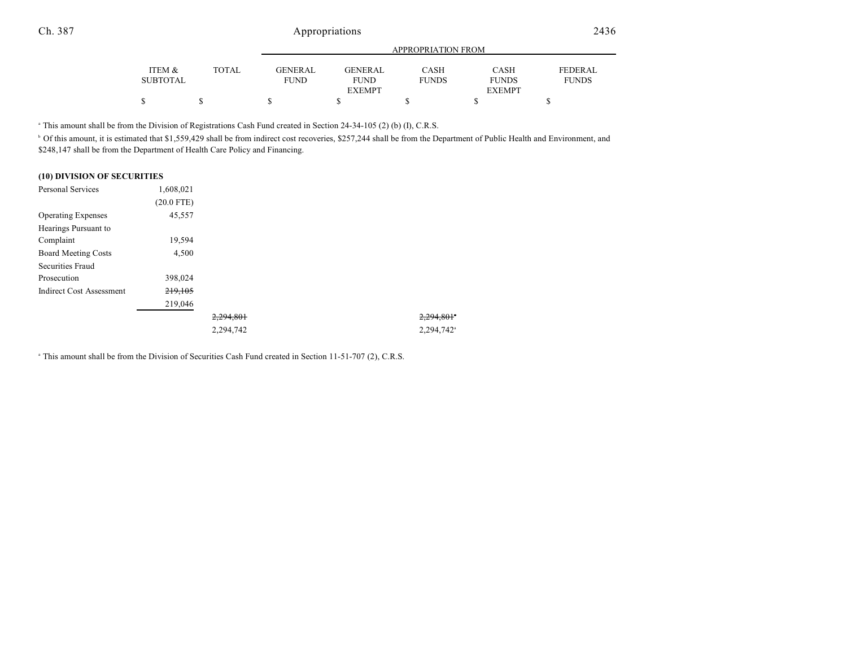Ch. 387 Appropriations 2436

|                 |       | APPROPRIATION FROM |                |              |               |                |
|-----------------|-------|--------------------|----------------|--------------|---------------|----------------|
|                 |       |                    |                |              |               |                |
| ITEM &          | TOTAL | <b>GENER AL</b>    | <b>GENERAL</b> | CASH         | <b>CASH</b>   | <b>FEDERAL</b> |
| <b>SUBTOTAL</b> |       | <b>FUND</b>        | <b>FUND</b>    | <b>FUNDS</b> | <b>FUNDS</b>  | <b>FUNDS</b>   |
|                 |       |                    | <b>EXEMPT</b>  |              | <b>EXEMPT</b> |                |
| \$              |       |                    |                |              |               |                |

<sup>a</sup> This amount shall be from the Division of Registrations Cash Fund created in Section 24-34-105 (2) (b) (I), C.R.S.

<sup>b</sup> Of this amount, it is estimated that \$1,559,429 shall be from indirect cost recoveries, \$257,244 shall be from the Department of Public Health and Environment, and \$248,147 shall be from the Department of Health Care Policy and Financing.

| (10) DIVISION OF SECURITIES |  |  |  |
|-----------------------------|--|--|--|
|-----------------------------|--|--|--|

| <b>Personal Services</b>        | 1,608,021    |           |                        |
|---------------------------------|--------------|-----------|------------------------|
|                                 | $(20.0$ FTE) |           |                        |
| <b>Operating Expenses</b>       | 45,557       |           |                        |
| Hearings Pursuant to            |              |           |                        |
| Complaint                       | 19,594       |           |                        |
| <b>Board Meeting Costs</b>      | 4,500        |           |                        |
| Securities Fraud                |              |           |                        |
| Prosecution                     | 398,024      |           |                        |
| <b>Indirect Cost Assessment</b> | 219,105      |           |                        |
|                                 | 219,046      |           |                        |
|                                 |              | 2,294,801 | 2,294,801*             |
|                                 |              | 2.294.742 | 2,294,742 <sup>a</sup> |

<sup>a</sup> This amount shall be from the Division of Securities Cash Fund created in Section 11-51-707 (2), C.R.S.